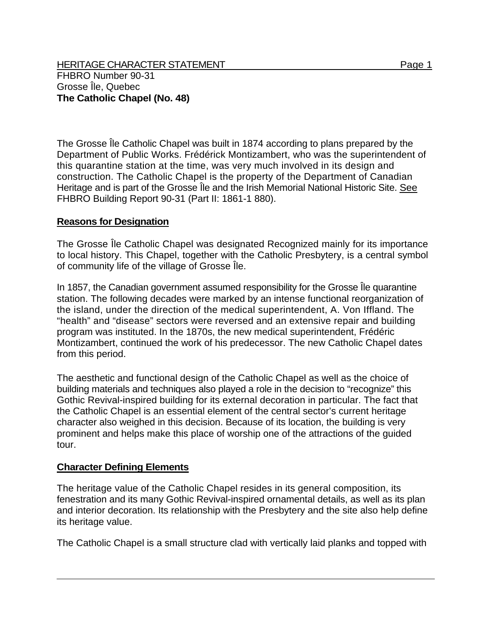HERITAGE CHARACTER STATEMENT FRIELD FOR A STATEMENT AND RAGE 1 FHBRO Number 90-31 Grosse Île, Quebec **The Catholic Chapel (No. 48)** 

The Grosse Île Catholic Chapel was built in 1874 according to plans prepared by the Department of Public Works. Frédérick Montizambert, who was the superintendent of this quarantine station at the time, was very much involved in its design and construction. The Catholic Chapel is the property of the Department of Canadian Heritage and is part of the Grosse Île and the Irish Memorial National Historic Site. See FHBRO Building Report 90-31 (Part II: 1861-1 880).

## **Reasons for Designation**

The Grosse Île Catholic Chapel was designated Recognized mainly for its importance to local history. This Chapel, together with the Catholic Presbytery, is a central symbol of community life of the village of Grosse Île.

In 1857, the Canadian government assumed responsibility for the Grosse Île quarantine station. The following decades were marked by an intense functional reorganization of the island, under the direction of the medical superintendent, A. Von Iffland. The "health" and "disease" sectors were reversed and an extensive repair and building program was instituted. In the 1870s, the new medical superintendent, Frédéric Montizambert, continued the work of his predecessor. The new Catholic Chapel dates from this period.

The aesthetic and functional design of the Catholic Chapel as well as the choice of building materials and techniques also played a role in the decision to "recognize" this Gothic Revival-inspired building for its external decoration in particular. The fact that the Catholic Chapel is an essential element of the central sector's current heritage character also weighed in this decision. Because of its location, the building is very prominent and helps make this place of worship one of the attractions of the guided tour.

## **Character Defining Elements**

The heritage value of the Catholic Chapel resides in its general composition, its fenestration and its many Gothic Revival-inspired ornamental details, as well as its plan and interior decoration. Its relationship with the Presbytery and the site also help define its heritage value.

The Catholic Chapel is a small structure clad with vertically laid planks and topped with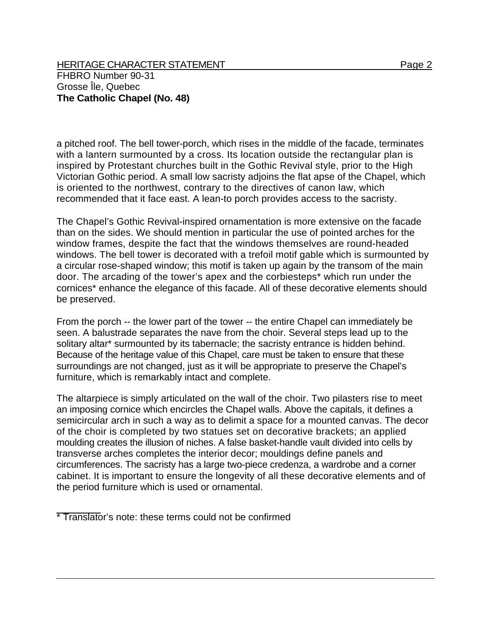HERITAGE CHARACTER STATEMENT FRIELD FOR A STATEMENT AND RAGE 2 FHBRO Number 90-31 Grosse Île, Quebec **The Catholic Chapel (No. 48)** 

a pitched roof. The bell tower-porch, which rises in the middle of the facade, terminates with a lantern surmounted by a cross. Its location outside the rectangular plan is inspired by Protestant churches built in the Gothic Revival style, prior to the High Victorian Gothic period. A small low sacristy adjoins the flat apse of the Chapel, which is oriented to the northwest, contrary to the directives of canon law, which recommended that it face east. A lean-to porch provides access to the sacristy.

The Chapel's Gothic Revival-inspired ornamentation is more extensive on the facade than on the sides. We should mention in particular the use of pointed arches for the window frames, despite the fact that the windows themselves are round-headed windows. The bell tower is decorated with a trefoil motif gable which is surmounted by a circular rose-shaped window; this motif is taken up again by the transom of the main door. The arcading of the tower's apex and the corbiesteps\* which run under the cornices\* enhance the elegance of this facade. All of these decorative elements should be preserved.

From the porch -- the lower part of the tower -- the entire Chapel can immediately be seen. A balustrade separates the nave from the choir. Several steps lead up to the solitary altar<sup>\*</sup> surmounted by its tabernacle; the sacristy entrance is hidden behind. Because of the heritage value of this Chapel, care must be taken to ensure that these surroundings are not changed, just as it will be appropriate to preserve the Chapel's furniture, which is remarkably intact and complete.

The altarpiece is simply articulated on the wall of the choir. Two pilasters rise to meet an imposing cornice which encircles the Chapel walls. Above the capitals, it defines a semicircular arch in such a way as to delimit a space for a mounted canvas. The decor of the choir is completed by two statues set on decorative brackets; an applied moulding creates the illusion of niches. A false basket-handle vault divided into cells by transverse arches completes the interior decor; mouldings define panels and circumferences. The sacristy has a large two-piece credenza, a wardrobe and a corner cabinet. It is important to ensure the longevity of all these decorative elements and of the period furniture which is used or ornamental.

<sup>\*</sup> Translator's note: these terms could not be confirmed